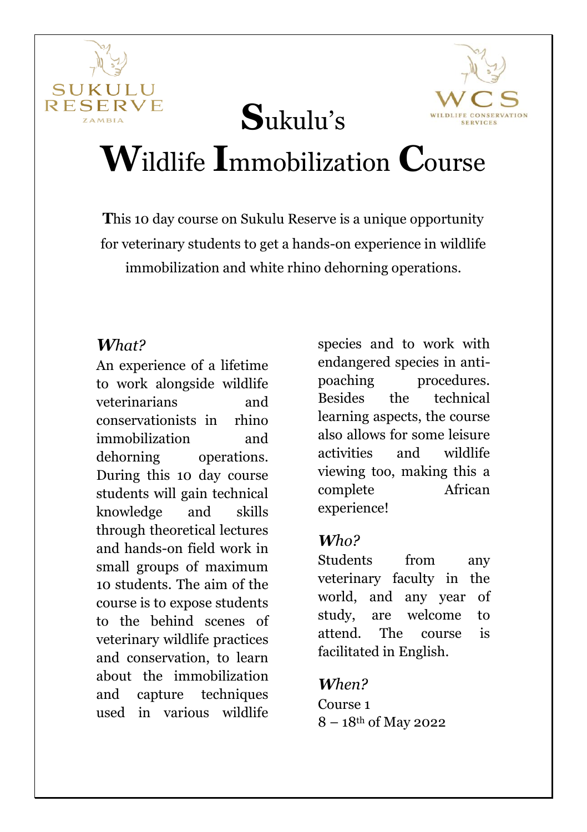



# **W**ildlife **I**mmobilization **C**ourse

**S**ukulu's

**T**his 10 day course on Sukulu Reserve is a unique opportunity for veterinary students to get a hands-on experience in wildlife immobilization and white rhino dehorning operations.

#### *What?*

An experience of a lifetime to work alongside wildlife veterinarians and conservationists in rhino immobilization and dehorning operations. During this 10 day course students will gain technical knowledge and skills through theoretical lectures and hands-on field work in small groups of maximum 10 students. The aim of the course is to expose students to the behind scenes of veterinary wildlife practices and conservation, to learn about the immobilization and capture techniques used in various wildlife

species and to work with endangered species in antipoaching procedures. Besides the technical learning aspects, the course also allows for some leisure activities and wildlife viewing too, making this a complete African experience!

#### *Who?*

Students from any veterinary faculty in the world, and any year of study, are welcome to attend. The course is facilitated in English.

#### *When?*

Course 1 8 – 18th of May 2022